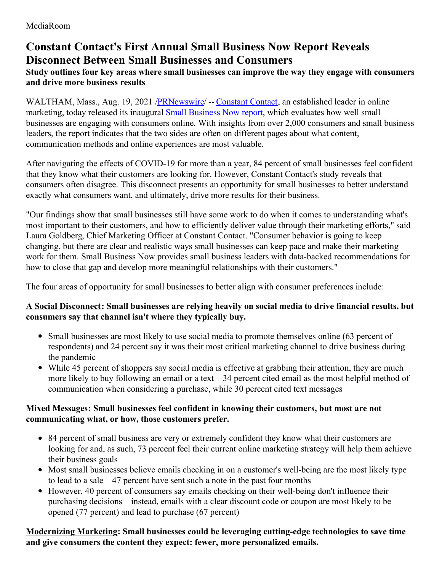# **Constant Contact's First Annual Small Business Now Report Reveals Disconnect Between Small Businesses and Consumers**

# **Study outlines four key areas where small businesses can improve the way they engage with consumers and drive more business results**

WALTHAM, Mass., Aug. 19, 2021 [/PRNewswire](http://www.prnewswire.com/)/ -- [Constant](https://c212.net/c/link/?t=0&l=en&o=3264228-1&h=1853323987&u=http%3A%2F%2Fwww.constantcontact.com%2F&a=Constant+Contact) Contact, an established leader in online marketing, today released its inaugural Small [Business](https://c212.net/c/link/?t=0&l=en&o=3264228-1&h=1738184978&u=https%3A%2F%2Fwww.constantcontact.com%2Fsmall-business-now&a=Small+Business+Now+report) Now report, which evaluates how well small businesses are engaging with consumers online. With insights from over 2,000 consumers and small business leaders, the report indicates that the two sides are often on different pages about what content, communication methods and online experiences are most valuable.

After navigating the effects of COVID-19 for more than a year, 84 percent of small businesses feel confident that they know what their customers are looking for. However, Constant Contact's study reveals that consumers often disagree. This disconnect presents an opportunity for small businesses to better understand exactly what consumers want, and ultimately, drive more results for their business.

"Our findings show that small businesses still have some work to do when it comes to understanding what's most important to their customers, and how to efficiently deliver value through their marketing efforts," said Laura Goldberg, Chief Marketing Officer at Constant Contact. "Consumer behavior is going to keep changing, but there are clear and realistic ways small businesses can keep pace and make their marketing work for them. Small Business Now provides small business leaders with data-backed recommendations for how to close that gap and develop more meaningful relationships with their customers."

The four areas of opportunity for small businesses to better align with consumer preferences include:

#### **A Social Disconnect: Small businesses are relying heavily on social media to drive financial results, but consumers say that channel isn't where they typically buy.**

- Small businesses are most likely to use social media to promote themselves online (63 percent of respondents) and 24 percent say it was their most critical marketing channel to drive business during the pandemic
- While 45 percent of shoppers say social media is effective at grabbing their attention, they are much more likely to buy following an email or a text – 34 percent cited email as the most helpful method of communication when considering a purchase, while 30 percent cited text messages

### **Mixed Messages: Small businesses feel confident in knowing their customers, but most are not communicating what, or how, those customers prefer.**

- 84 percent of small business are very or extremely confident they know what their customers are looking for and, as such, 73 percent feel their current online marketing strategy will help them achieve their business goals
- Most small businesses believe emails checking in on a customer's well-being are the most likely type to lead to a sale – 47 percent have sent such a note in the past four months
- However, 40 percent of consumers say emails checking on their well-being don't influence their purchasing decisions – instead, emails with a clear discount code or coupon are most likely to be opened (77 percent) and lead to purchase (67 percent)

**Modernizing Marketing: Small businesses could be leveraging cutting-edge technologies to save time and give consumers the content they expect: fewer, more personalized emails.**